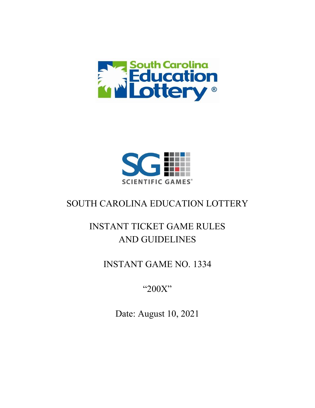



## SOUTH CAROLINA EDUCATION LOTTERY

# INSTANT TICKET GAME RULES AND GUIDELINES

### INSTANT GAME NO. 1334

"200X"

Date: August 10, 2021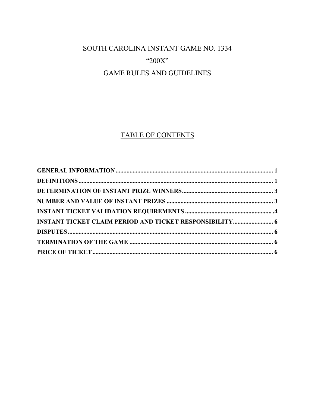### SOUTH CAROLINA INSTANT GAME NO. 1334 " $200X"$ **GAME RULES AND GUIDELINES**

### TABLE OF CONTENTS

| <b>INSTANT TICKET CLAIM PERIOD AND TICKET RESPONSIBILITY 6</b> |  |
|----------------------------------------------------------------|--|
|                                                                |  |
|                                                                |  |
|                                                                |  |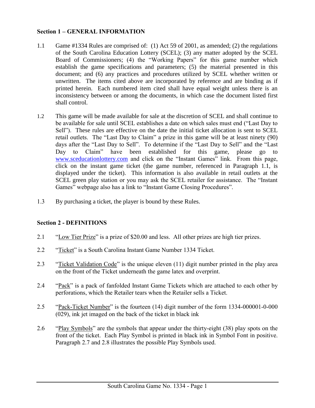#### <span id="page-2-0"></span>**Section 1 – GENERAL INFORMATION**

- 1.1 Game #1334 Rules are comprised of: (1) Act 59 of 2001, as amended; (2) the regulations of the South Carolina Education Lottery (SCEL); (3) any matter adopted by the SCEL Board of Commissioners; (4) the "Working Papers" for this game number which establish the game specifications and parameters; (5) the material presented in this document; and (6) any practices and procedures utilized by SCEL whether written or unwritten. The items cited above are incorporated by reference and are binding as if printed herein. Each numbered item cited shall have equal weight unless there is an inconsistency between or among the documents, in which case the document listed first shall control.
- 1.2 This game will be made available for sale at the discretion of SCEL and shall continue to be available for sale until SCEL establishes a date on which sales must end ("Last Day to Sell"). These rules are effective on the date the initial ticket allocation is sent to SCEL retail outlets. The "Last Day to Claim" a prize in this game will be at least ninety (90) days after the "Last Day to Sell". To determine if the "Last Day to Sell" and the "Last Day to Claim" have been established for this game, please go to [www.sceducationlottery.com](http://www.sceducationlottery.com/) and click on the "Instant Games" link. From this page, click on the instant game ticket (the game number, referenced in Paragraph 1.1, is displayed under the ticket). This information is also available in retail outlets at the SCEL green play station or you may ask the SCEL retailer for assistance. The "Instant Games" webpage also has a link to "Instant Game Closing Procedures".
- 1.3 By purchasing a ticket, the player is bound by these Rules.

### <span id="page-2-1"></span>**Section 2 - DEFINITIONS**

- 2.1 "Low Tier Prize" is a prize of \$20.00 and less. All other prizes are high tier prizes.
- 2.2 "Ticket" is a South Carolina Instant Game Number 1334 Ticket.
- 2.3 "Ticket Validation Code" is the unique eleven (11) digit number printed in the play area on the front of the Ticket underneath the game latex and overprint.
- 2.4 "Pack" is a pack of fanfolded Instant Game Tickets which are attached to each other by perforations, which the Retailer tears when the Retailer sells a Ticket.
- 2.5 "Pack-Ticket Number" is the fourteen (14) digit number of the form 1334-000001-0-000 (029), ink jet imaged on the back of the ticket in black ink
- 2.6 "Play Symbols" are the symbols that appear under the thirty-eight (38) play spots on the front of the ticket. Each Play Symbol is printed in black ink in Symbol Font in positive. Paragraph 2.7 and 2.8 illustrates the possible Play Symbols used.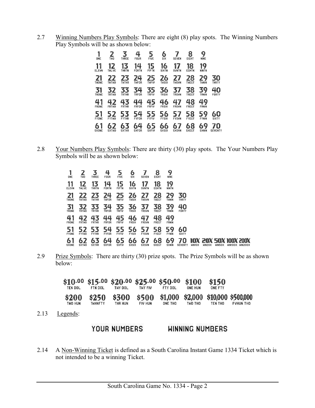2.7 Winning Numbers Play Symbols: There are eight (8) play spots. The Winning Numbers Play Symbols will be as shown below:

| 1<br>ONE           | 2<br>THO           | 3<br>THREE         | 4<br><b>FOUR</b>   | 5<br><b>FIVE</b>   | 6<br><b>SIX</b>    | <b>SEVEN</b>       | 8<br><b>EIGHT</b>  | 9<br><b>NINE</b>   |                     |  |
|--------------------|--------------------|--------------------|--------------------|--------------------|--------------------|--------------------|--------------------|--------------------|---------------------|--|
| 11<br><b>ELEVN</b> | 12<br><b>THLVE</b> | 13<br><b>THRTN</b> | 14<br><b>FORTN</b> | 15<br><b>FIFTN</b> | 16<br><b>SIXTN</b> | 17<br><b>SVNTN</b> | 18<br><b>EGHTN</b> | 19<br><b>NINTN</b> |                     |  |
| 21<br>THONE        | 22<br><b>THTHO</b> | 23<br><b>THTHR</b> | 24<br><b>THFOR</b> | 25<br><b>THFIV</b> | 26<br><b>THSIX</b> | <b>THSVN</b>       | 28<br><b>THEGT</b> | 9<br><b>THNIN</b>  | 30<br>THRTY         |  |
| 31<br>TRONE        | 32<br><b>TRTWO</b> | 33<br><b>TRTHR</b> | 34<br>TRFOR        | 35<br>TRFIV        | 36<br><b>TRSIX</b> | 37<br><b>TRSVN</b> | 38<br>TREGT        | 39<br><b>TRNIN</b> | 40<br>FORTY         |  |
| 41<br>FRONE        | 42<br><b>FRTWO</b> | 43<br><b>FRTHR</b> | 44<br>FRFOR        | 45<br>FRFIV        | 46<br><b>FRSIX</b> | 47<br><b>FRSVN</b> | 48<br>FREGT        | 49<br>FRNIN        |                     |  |
| 51<br>FYONE        | 52<br><b>FYTWO</b> | 53<br><b>FYTHR</b> | 54<br><b>FYFOR</b> | 55<br><b>FYFIV</b> | 56<br><b>FYSIX</b> | 57<br><b>FYSVN</b> | 58<br><b>FYEGT</b> | 59<br><b>FYNIN</b> | 60<br><b>SIXTY</b>  |  |
| 61<br>SXONE        | <b>SXTWO</b>       | 63<br><b>SXTHR</b> | 64<br><b>SXFOR</b> | 65<br><b>SXFIV</b> | <b>SXSIX</b>       | 6<br><b>SXSVN</b>  | 68<br><b>SXEGT</b> | 69<br><b>SXNIN</b> | 0<br><b>SEVENTY</b> |  |
|                    |                    |                    |                    |                    |                    |                    |                    |                    |                     |  |

2.8 Your Numbers Play Symbols: There are thirty (30) play spots. The Your Numbers Play Symbols will be as shown below:

| 1<br>ONE           | <b>THO</b>         | 3<br>THREE         | 4<br><b>FOUR</b>   | 5<br><b>FIVE</b>   | 6<br>SIX           | <b>SEVEN</b>       | 8<br><b>EIGHT</b>  | 9<br><b>NINE</b>   |                          |                      |        |               |                        |
|--------------------|--------------------|--------------------|--------------------|--------------------|--------------------|--------------------|--------------------|--------------------|--------------------------|----------------------|--------|---------------|------------------------|
| 11<br><b>ELEVN</b> | 12<br>THLVE        | 13<br><b>THRTN</b> | 14<br>FORTN        | 15<br><b>FIFTN</b> | 16<br><b>SIXTN</b> | 17<br><b>SVNTN</b> | 18<br>EGHTN        | 19<br><b>NINTN</b> |                          |                      |        |               |                        |
| 21<br><b>THONE</b> | 22<br>THTHO        | 23<br>THTHR        | 24<br><b>THFOR</b> | 25<br><b>THFIV</b> | 26<br><b>THSIX</b> | 27<br><b>THSVN</b> | 28<br>THEGT        | 29<br><b>THNIN</b> | 30<br>THRTY              |                      |        |               |                        |
| 31<br>TRONE        | 32<br>TRTWO        | 33<br>TRTHR        | 34<br><b>TRFOR</b> | 35<br>TRFIV        | 36<br><b>TRSIX</b> | 37<br><b>TRSVN</b> | 38<br>TREGT        | 39<br>TRNIN        | 40<br>FORTY              |                      |        |               |                        |
| 41<br><b>FRONE</b> | 42<br><b>FRTWO</b> | 43<br><b>FRTHR</b> | 44<br><b>FRFOR</b> | 45<br>FRFIV        | 46<br><b>FRSIX</b> | 47<br><b>FRSVN</b> | 48<br>FREGT        | 49<br><b>FRNIN</b> |                          |                      |        |               |                        |
| 51<br><b>FYONE</b> | 52<br><b>FYTWO</b> | 53<br><b>FYTHR</b> | 54<br><b>FYFOR</b> | 55<br><b>FYFIV</b> | 56<br><b>FYSIX</b> | 57<br><b>FYSVN</b> | 58<br><b>FYEGT</b> | 59<br><b>FYNIN</b> | 60<br><b>SIXTY</b>       |                      |        |               |                        |
| 61<br><b>SXONE</b> | 62<br><b>SXTWO</b> | 63<br><b>SXTHR</b> | 64<br><b>SXFOR</b> | 65<br><b>SXFIV</b> | 66<br><b>SXSIX</b> | 67<br><b>SXSVN</b> | 68<br><b>SXEGT</b> | 69<br><b>SXNIN</b> | 7<br>0<br><b>SEVENTY</b> | 10)<br><b>WIN1OX</b> | WIN2OX | <b>WINSOX</b> | <b>WIN100X WIN200X</b> |

2.9 Prize Symbols: There are thirty (30) prize spots. The Prize Symbols will be as shown below:

| TEN DOL          | FTN DOL.         | TWY DOL                 | THY FIV        | $$10.00$ \$15.00 \$20.00 \$25.00 \$50.00<br>ETY DOL. | \$100<br><b>ONE HUN</b> | \$150<br>ONE FTY |                                                              |
|------------------|------------------|-------------------------|----------------|------------------------------------------------------|-------------------------|------------------|--------------------------------------------------------------|
| \$200<br>TWO HUN | \$250<br>TWHNFTY | <b>\$300</b><br>THR HUN | <b>FIV HUN</b> | ONE THO                                              | TWO THO                 | TEN THO          | \$500 \$1,000 \$2,000 \$10,000 \$500,000<br><b>FVHUN THO</b> |

2.13 Legends:

#### **YOUR NUMBERS WINNING NUMBERS**

2.14 A Non-Winning Ticket is defined as a South Carolina Instant Game 1334 Ticket which is not intended to be a winning Ticket.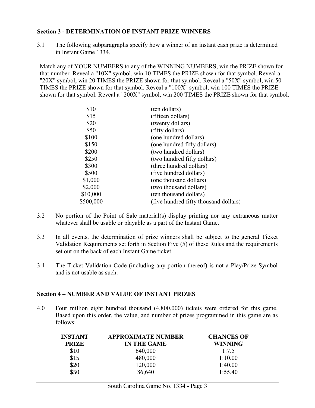#### **Section 3 - DETERMINATION OF INSTANT PRIZE WINNERS**

3.1 The following subparagraphs specify how a winner of an instant cash prize is determined in Instant Game 1334.

Match any of YOUR NUMBERS to any of the WINNING NUMBERS, win the PRIZE shown for that number. Reveal a "10X" symbol, win 10 TIMES the PRIZE shown for that symbol. Reveal a "20X" symbol, win 20 TIMES the PRIZE shown for that symbol. Reveal a "50X" symbol, win 50 TIMES the PRIZE shown for that symbol. Reveal a "100X" symbol, win 100 TIMES the PRIZE shown for that symbol. Reveal a "200X" symbol, win 200 TIMES the PRIZE shown for that symbol.

<span id="page-4-0"></span>

| \$10      | (ten dollars)                         |
|-----------|---------------------------------------|
| \$15      | (fifteen dollars)                     |
| \$20      | (twenty dollars)                      |
| \$50      | (fifty dollars)                       |
| \$100     | (one hundred dollars)                 |
| \$150     | (one hundred fifty dollars)           |
| \$200     | (two hundred dollars)                 |
| \$250     | (two hundred fifty dollars)           |
| \$300     | (three hundred dollars)               |
| \$500     | (five hundred dollars)                |
| \$1,000   | (one thousand dollars)                |
| \$2,000   | (two thousand dollars)                |
| \$10,000  | (ten thousand dollars)                |
| \$500,000 | (five hundred fifty thousand dollars) |
|           |                                       |

- 3.2 No portion of the Point of Sale material(s) display printing nor any extraneous matter whatever shall be usable or playable as a part of the Instant Game.
- 3.3 In all events, the determination of prize winners shall be subject to the general Ticket Validation Requirements set forth in Section Five (5) of these Rules and the requirements set out on the back of each Instant Game ticket.
- 3.4 The Ticket Validation Code (including any portion thereof) is not a Play/Prize Symbol and is not usable as such.

#### **Section 4 – NUMBER AND VALUE OF INSTANT PRIZES**

4.0 Four million eight hundred thousand (4,800,000) tickets were ordered for this game. Based upon this order, the value, and number of prizes programmed in this game are as follows:

<span id="page-4-1"></span>

| INSTANT      | <b>APPROXIMATE NUMBER</b> | <b>CHANCES OF</b> |
|--------------|---------------------------|-------------------|
| <b>PRIZE</b> | <b>IN THE GAME</b>        | <b>WINNING</b>    |
| \$10         | 640,000                   | 1:7.5             |
| \$15         | 480,000                   | 1:10.00           |
| \$20         | 120,000                   | 1:40.00           |
| \$50         | 86,640                    | 1:55.40           |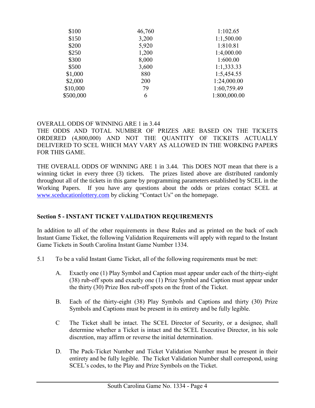| \$100<br>46,760 | 1:102.65     |
|-----------------|--------------|
| \$150<br>3,200  | 1:1,500.00   |
| \$200<br>5,920  | 1:810.81     |
| \$250<br>1,200  | 1:4,000.00   |
| \$300<br>8,000  | 1:600.00     |
| \$500<br>3,600  | 1:1,333.33   |
| \$1,000<br>880  | 1:5,454.55   |
| \$2,000<br>200  | 1:24,000.00  |
| \$10,000<br>79  | 1:60,759.49  |
| \$500,000<br>6  | 1:800,000.00 |

#### OVERALL ODDS OF WINNING ARE 1 in 3.44

THE ODDS AND TOTAL NUMBER OF PRIZES ARE BASED ON THE TICKETS ORDERED (4,800,000) AND NOT THE QUANTITY OF TICKETS ACTUALLY DELIVERED TO SCEL WHICH MAY VARY AS ALLOWED IN THE WORKING PAPERS FOR THIS GAME.

THE OVERALL ODDS OF WINNING ARE 1 in 3.44. This DOES NOT mean that there is a winning ticket in every three (3) tickets. The prizes listed above are distributed randomly throughout all of the tickets in this game by programming parameters established by SCEL in the Working Papers. If you have any questions about the odds or prizes contact SCEL at [www.sceducationlottery.com](http://www.sceducationlottery.com/) by clicking "Contact Us" on the homepage.

#### <span id="page-5-0"></span>**Section 5 - INSTANT TICKET VALIDATION REQUIREMENTS**

In addition to all of the other requirements in these Rules and as printed on the back of each Instant Game Ticket, the following Validation Requirements will apply with regard to the Instant Game Tickets in South Carolina Instant Game Number 1334.

- 5.1 To be a valid Instant Game Ticket, all of the following requirements must be met:
	- A. Exactly one (1) Play Symbol and Caption must appear under each of the thirty-eight (38) rub-off spots and exactly one (1) Prize Symbol and Caption must appear under the thirty (30) Prize Box rub-off spots on the front of the Ticket.
	- B. Each of the thirty-eight (38) Play Symbols and Captions and thirty (30) Prize Symbols and Captions must be present in its entirety and be fully legible.
	- C The Ticket shall be intact. The SCEL Director of Security, or a designee, shall determine whether a Ticket is intact and the SCEL Executive Director, in his sole discretion, may affirm or reverse the initial determination.
	- D. The Pack-Ticket Number and Ticket Validation Number must be present in their entirety and be fully legible. The Ticket Validation Number shall correspond, using SCEL's codes, to the Play and Prize Symbols on the Ticket.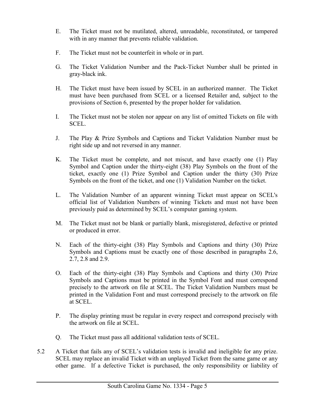- E. The Ticket must not be mutilated, altered, unreadable, reconstituted, or tampered with in any manner that prevents reliable validation.
- F. The Ticket must not be counterfeit in whole or in part.
- G. The Ticket Validation Number and the Pack-Ticket Number shall be printed in gray-black ink.
- H. The Ticket must have been issued by SCEL in an authorized manner. The Ticket must have been purchased from SCEL or a licensed Retailer and, subject to the provisions of Section 6, presented by the proper holder for validation.
- I. The Ticket must not be stolen nor appear on any list of omitted Tickets on file with SCEL.
- J. The Play & Prize Symbols and Captions and Ticket Validation Number must be right side up and not reversed in any manner.
- K. The Ticket must be complete, and not miscut, and have exactly one (1) Play Symbol and Caption under the thirty-eight (38) Play Symbols on the front of the ticket, exactly one (1) Prize Symbol and Caption under the thirty (30) Prize Symbols on the front of the ticket, and one (1) Validation Number on the ticket.
- L. The Validation Number of an apparent winning Ticket must appear on SCEL's official list of Validation Numbers of winning Tickets and must not have been previously paid as determined by SCEL's computer gaming system.
- M. The Ticket must not be blank or partially blank, misregistered, defective or printed or produced in error.
- N. Each of the thirty-eight (38) Play Symbols and Captions and thirty (30) Prize Symbols and Captions must be exactly one of those described in paragraphs 2.6, 2.7, 2.8 and 2.9.
- O. Each of the thirty-eight (38) Play Symbols and Captions and thirty (30) Prize Symbols and Captions must be printed in the Symbol Font and must correspond precisely to the artwork on file at SCEL. The Ticket Validation Numbers must be printed in the Validation Font and must correspond precisely to the artwork on file at SCEL.
- P. The display printing must be regular in every respect and correspond precisely with the artwork on file at SCEL.
- Q. The Ticket must pass all additional validation tests of SCEL.
- 5.2 A Ticket that fails any of SCEL's validation tests is invalid and ineligible for any prize. SCEL may replace an invalid Ticket with an unplayed Ticket from the same game or any other game. If a defective Ticket is purchased, the only responsibility or liability of